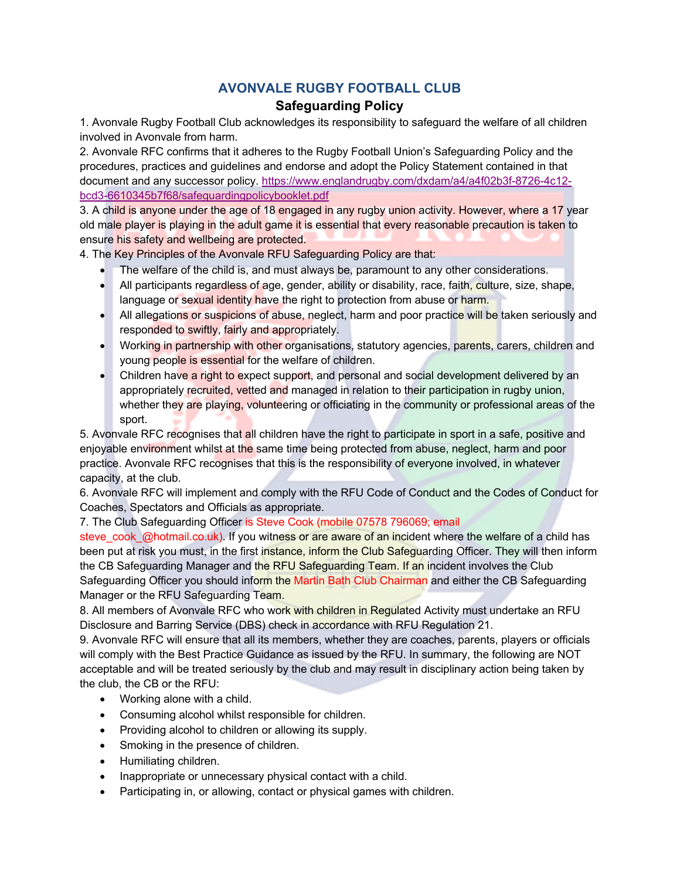## **AVONVALE RUGBY FOOTBALL CLUB**

## **Safeguarding Policy**

1. Avonvale Rugby Football Club acknowledges its responsibility to safeguard the welfare of all children involved in Avonvale from harm.

2. Avonvale RFC confirms that it adheres to the Rugby Football Union's Safeguarding Policy and the procedures, practices and guidelines and endorse and adopt the Policy Statement contained in that document and any successor policy. https://www.englandrugby.com/dxdam/a4/a4f02b3f-8726-4c12 bcd3-6610345b7f68/safeguardingpolicybooklet.pdf

3. A child is anyone under the age of 18 engaged in any rugby union activity. However, where a 17 year old male player is playing in the adult game it is essential that every reasonable precaution is taken to ensure his safety and wellbeing are protected.

4. The Key Principles of the Avonvale RFU Safeguarding Policy are that:

- The welfare of the child is, and must always be, paramount to any other considerations.
- All participants regardless of age, gender, ability or disability, race, faith, culture, size, shape, language or sexual identity have the right to protection from abuse or harm.
- All allegations or suspicions of abuse, neglect, harm and poor practice will be taken seriously and responded to swiftly, fairly and appropriately.
- Working in partnership with other organisations, statutory agencies, parents, carers, children and young people is essential for the welfare of children.
- Children have a right to expect support, and personal and social development delivered by an appropriately recruited, vetted and managed in relation to their participation in rugby union, whether they are playing, volunteering or officiating in the community or professional areas of the sport.

5. Avonvale RFC recognises that all children have the right to participate in sport in a safe, positive and enjoyable environment whilst at the same time being protected from abuse, neglect, harm and poor practice. Avonvale RFC recognises that this is the responsibility of everyone involved, in whatever capacity, at the club.

6. Avonvale RFC will implement and comply with the RFU Code of Conduct and the Codes of Conduct for Coaches, Spectators and Officials as appropriate.

7. The Club Safeguarding Officer is Steve Cook (mobile 07578 796069; email

steve\_cook\_@hotmail.co.uk). If you witness or are aware of an incident where the welfare of a child has been put at risk you must, in the first instance, inform the Club Safequarding Officer. They will then inform the CB Safeguarding Manager and the RFU Safeguarding Team. If an incident involves the Club Safeguarding Officer you should inform the Martin Bath Club Chairman and either the CB Safeguarding Manager or the RFU Safeguarding Team.

8. All members of Avonvale RFC who work with children in Regulated Activity must undertake an RFU Disclosure and Barring Service (DBS) check in accordance with RFU Regulation 21.

9. Avonvale RFC will ensure that all its members, whether they are coaches, parents, players or officials will comply with the Best Practice Guidance as issued by the RFU. In summary, the following are NOT acceptable and will be treated seriously by the club and may result in disciplinary action being taken by the club, the CB or the RFU:

- Working alone with a child.
- Consuming alcohol whilst responsible for children.
- Providing alcohol to children or allowing its supply.
- Smoking in the presence of children.
- Humiliating children.
- Inappropriate or unnecessary physical contact with a child.
- Participating in, or allowing, contact or physical games with children.